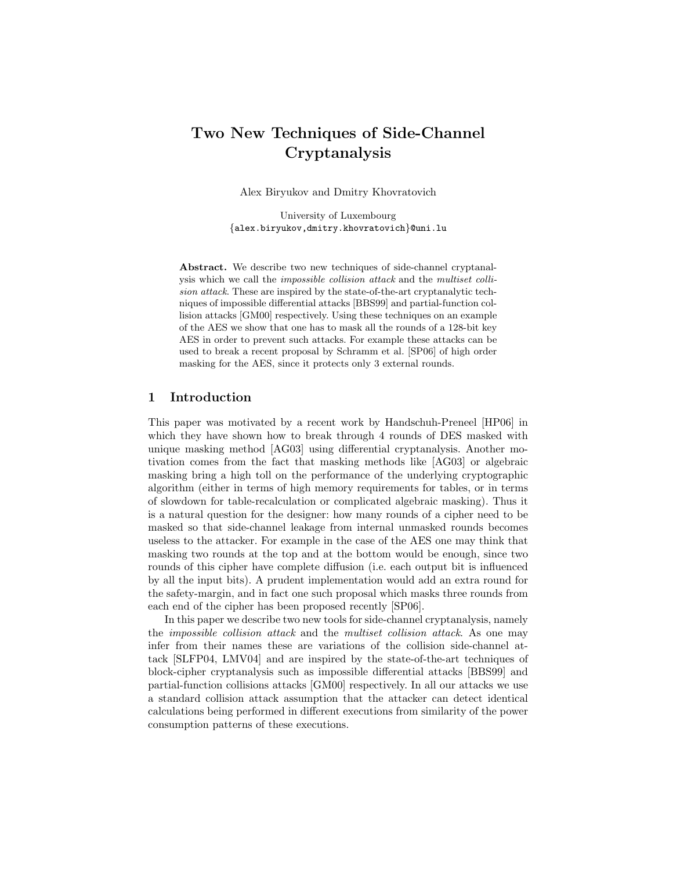# Two New Techniques of Side-Channel Cryptanalysis

Alex Biryukov and Dmitry Khovratovich

University of Luxembourg {alex.biryukov,dmitry.khovratovich}@uni.lu

Abstract. We describe two new techniques of side-channel cryptanalysis which we call the impossible collision attack and the multiset collision attack. These are inspired by the state-of-the-art cryptanalytic techniques of impossible differential attacks [BBS99] and partial-function collision attacks [GM00] respectively. Using these techniques on an example of the AES we show that one has to mask all the rounds of a 128-bit key AES in order to prevent such attacks. For example these attacks can be used to break a recent proposal by Schramm et al. [SP06] of high order masking for the AES, since it protects only 3 external rounds.

# 1 Introduction

This paper was motivated by a recent work by Handschuh-Preneel [HP06] in which they have shown how to break through 4 rounds of DES masked with unique masking method [AG03] using differential cryptanalysis. Another motivation comes from the fact that masking methods like [AG03] or algebraic masking bring a high toll on the performance of the underlying cryptographic algorithm (either in terms of high memory requirements for tables, or in terms of slowdown for table-recalculation or complicated algebraic masking). Thus it is a natural question for the designer: how many rounds of a cipher need to be masked so that side-channel leakage from internal unmasked rounds becomes useless to the attacker. For example in the case of the AES one may think that masking two rounds at the top and at the bottom would be enough, since two rounds of this cipher have complete diffusion (i.e. each output bit is influenced by all the input bits). A prudent implementation would add an extra round for the safety-margin, and in fact one such proposal which masks three rounds from each end of the cipher has been proposed recently [SP06].

In this paper we describe two new tools for side-channel cryptanalysis, namely the impossible collision attack and the multiset collision attack. As one may infer from their names these are variations of the collision side-channel attack [SLFP04, LMV04] and are inspired by the state-of-the-art techniques of block-cipher cryptanalysis such as impossible differential attacks [BBS99] and partial-function collisions attacks [GM00] respectively. In all our attacks we use a standard collision attack assumption that the attacker can detect identical calculations being performed in different executions from similarity of the power consumption patterns of these executions.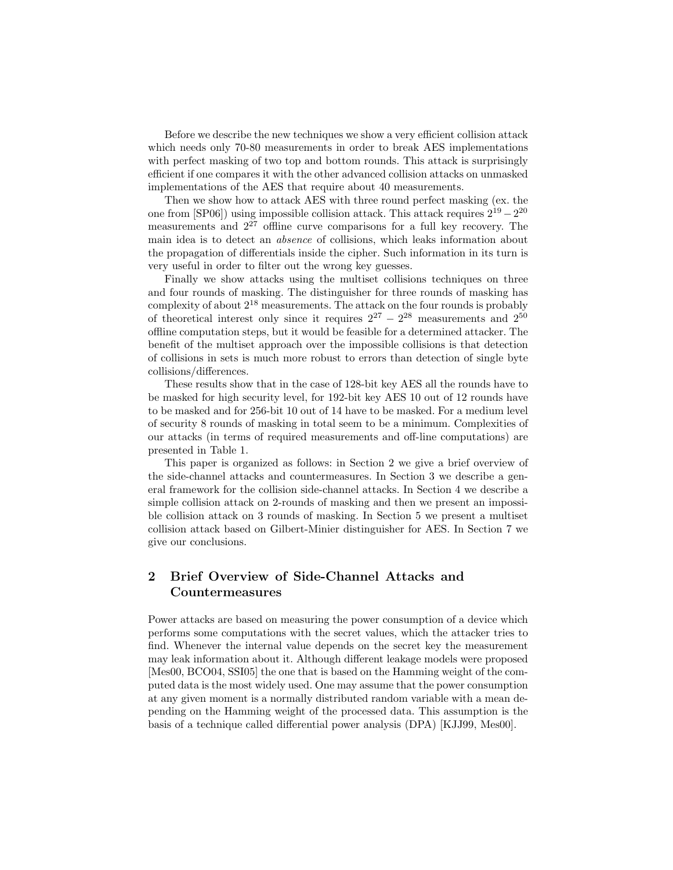Before we describe the new techniques we show a very efficient collision attack which needs only 70-80 measurements in order to break AES implementations with perfect masking of two top and bottom rounds. This attack is surprisingly efficient if one compares it with the other advanced collision attacks on unmasked implementations of the AES that require about 40 measurements.

Then we show how to attack AES with three round perfect masking (ex. the one from  $[SP06]$ ) using impossible collision attack. This attack requires  $2^{19} - 2^{20}$ measurements and  $2^{27}$  offline curve comparisons for a full key recovery. The main idea is to detect an absence of collisions, which leaks information about the propagation of differentials inside the cipher. Such information in its turn is very useful in order to filter out the wrong key guesses.

Finally we show attacks using the multiset collisions techniques on three and four rounds of masking. The distinguisher for three rounds of masking has complexity of about  $2^{18}$  measurements. The attack on the four rounds is probably of theoretical interest only since it requires  $2^{27} - 2^{28}$  measurements and  $2^{50}$ offline computation steps, but it would be feasible for a determined attacker. The benefit of the multiset approach over the impossible collisions is that detection of collisions in sets is much more robust to errors than detection of single byte collisions/differences.

These results show that in the case of 128-bit key AES all the rounds have to be masked for high security level, for 192-bit key AES 10 out of 12 rounds have to be masked and for 256-bit 10 out of 14 have to be masked. For a medium level of security 8 rounds of masking in total seem to be a minimum. Complexities of our attacks (in terms of required measurements and off-line computations) are presented in Table 1.

This paper is organized as follows: in Section 2 we give a brief overview of the side-channel attacks and countermeasures. In Section 3 we describe a general framework for the collision side-channel attacks. In Section 4 we describe a simple collision attack on 2-rounds of masking and then we present an impossible collision attack on 3 rounds of masking. In Section 5 we present a multiset collision attack based on Gilbert-Minier distinguisher for AES. In Section 7 we give our conclusions.

# 2 Brief Overview of Side-Channel Attacks and Countermeasures

Power attacks are based on measuring the power consumption of a device which performs some computations with the secret values, which the attacker tries to find. Whenever the internal value depends on the secret key the measurement may leak information about it. Although different leakage models were proposed [Mes00, BCO04, SSI05] the one that is based on the Hamming weight of the computed data is the most widely used. One may assume that the power consumption at any given moment is a normally distributed random variable with a mean depending on the Hamming weight of the processed data. This assumption is the basis of a technique called differential power analysis (DPA) [KJJ99, Mes00].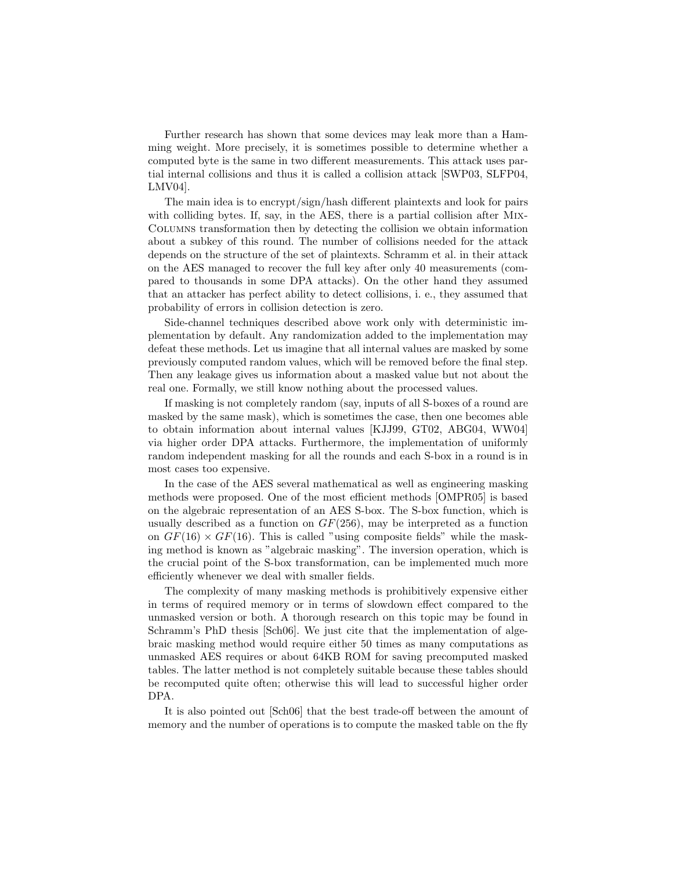Further research has shown that some devices may leak more than a Hamming weight. More precisely, it is sometimes possible to determine whether a computed byte is the same in two different measurements. This attack uses partial internal collisions and thus it is called a collision attack [SWP03, SLFP04, LMV04].

The main idea is to encrypt/sign/hash different plaintexts and look for pairs with colliding bytes. If, say, in the AES, there is a partial collision after MIX-Columns transformation then by detecting the collision we obtain information about a subkey of this round. The number of collisions needed for the attack depends on the structure of the set of plaintexts. Schramm et al. in their attack on the AES managed to recover the full key after only 40 measurements (compared to thousands in some DPA attacks). On the other hand they assumed that an attacker has perfect ability to detect collisions, i. e., they assumed that probability of errors in collision detection is zero.

Side-channel techniques described above work only with deterministic implementation by default. Any randomization added to the implementation may defeat these methods. Let us imagine that all internal values are masked by some previously computed random values, which will be removed before the final step. Then any leakage gives us information about a masked value but not about the real one. Formally, we still know nothing about the processed values.

If masking is not completely random (say, inputs of all S-boxes of a round are masked by the same mask), which is sometimes the case, then one becomes able to obtain information about internal values [KJJ99, GT02, ABG04, WW04] via higher order DPA attacks. Furthermore, the implementation of uniformly random independent masking for all the rounds and each S-box in a round is in most cases too expensive.

In the case of the AES several mathematical as well as engineering masking methods were proposed. One of the most efficient methods [OMPR05] is based on the algebraic representation of an AES S-box. The S-box function, which is usually described as a function on  $GF(256)$ , may be interpreted as a function on  $GF(16) \times GF(16)$ . This is called "using composite fields" while the masking method is known as "algebraic masking". The inversion operation, which is the crucial point of the S-box transformation, can be implemented much more efficiently whenever we deal with smaller fields.

The complexity of many masking methods is prohibitively expensive either in terms of required memory or in terms of slowdown effect compared to the unmasked version or both. A thorough research on this topic may be found in Schramm's PhD thesis [Sch06]. We just cite that the implementation of algebraic masking method would require either 50 times as many computations as unmasked AES requires or about 64KB ROM for saving precomputed masked tables. The latter method is not completely suitable because these tables should be recomputed quite often; otherwise this will lead to successful higher order DPA.

It is also pointed out [Sch06] that the best trade-off between the amount of memory and the number of operations is to compute the masked table on the fly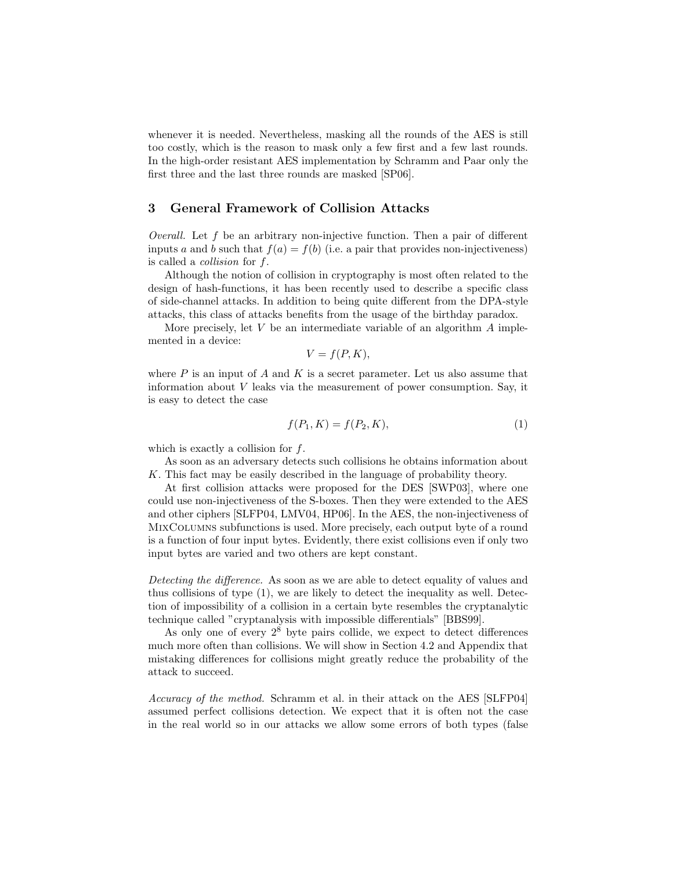whenever it is needed. Nevertheless, masking all the rounds of the AES is still too costly, which is the reason to mask only a few first and a few last rounds. In the high-order resistant AES implementation by Schramm and Paar only the first three and the last three rounds are masked [SP06].

# 3 General Framework of Collision Attacks

*Overall.* Let  $f$  be an arbitrary non-injective function. Then a pair of different inputs a and b such that  $f(a) = f(b)$  (i.e. a pair that provides non-injectiveness) is called a collision for f.

Although the notion of collision in cryptography is most often related to the design of hash-functions, it has been recently used to describe a specific class of side-channel attacks. In addition to being quite different from the DPA-style attacks, this class of attacks benefits from the usage of the birthday paradox.

More precisely, let  $V$  be an intermediate variable of an algorithm  $A$  implemented in a device:

$$
V = f(P, K),
$$

where  $P$  is an input of  $A$  and  $K$  is a secret parameter. Let us also assume that information about  $V$  leaks via the measurement of power consumption. Say, it is easy to detect the case

$$
f(P_1, K) = f(P_2, K),
$$
\n(1)

which is exactly a collision for  $f$ .

As soon as an adversary detects such collisions he obtains information about K. This fact may be easily described in the language of probability theory.

At first collision attacks were proposed for the DES [SWP03], where one could use non-injectiveness of the S-boxes. Then they were extended to the AES and other ciphers [SLFP04, LMV04, HP06]. In the AES, the non-injectiveness of MixColumns subfunctions is used. More precisely, each output byte of a round is a function of four input bytes. Evidently, there exist collisions even if only two input bytes are varied and two others are kept constant.

Detecting the difference. As soon as we are able to detect equality of values and thus collisions of type (1), we are likely to detect the inequality as well. Detection of impossibility of a collision in a certain byte resembles the cryptanalytic technique called "cryptanalysis with impossible differentials" [BBS99].

As only one of every  $2^8$  byte pairs collide, we expect to detect differences much more often than collisions. We will show in Section 4.2 and Appendix that mistaking differences for collisions might greatly reduce the probability of the attack to succeed.

Accuracy of the method. Schramm et al. in their attack on the AES [SLFP04] assumed perfect collisions detection. We expect that it is often not the case in the real world so in our attacks we allow some errors of both types (false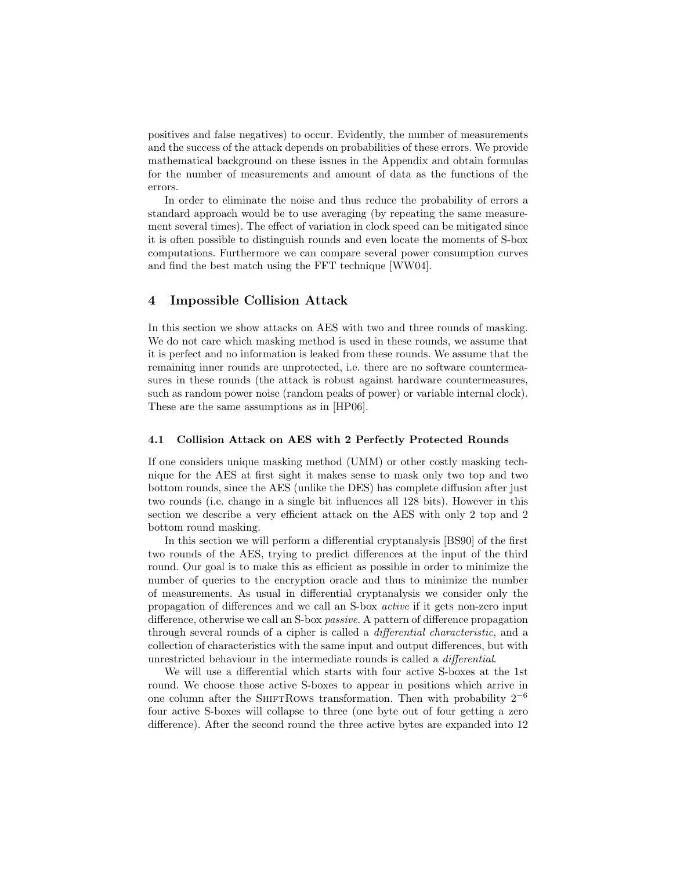positives and false negatives) to occur. Evidently, the number of measurements and the success of the attack depends on probabilities of these errors. We provide mathematical background on these issues in the Appendix and obtain formulas for the number of measurements and amount of data as the functions of the errors.

In order to eliminate the noise and thus reduce the probability of errors a standard approach would be to use averaging (by repeating the same measurement several times). The effect of variation in clock speed can be mitigated since it is often possible to distinguish rounds and even locate the moments of S-box computations. Furthermore we can compare several power consumption curves and find the best match using the FFT technique [WW04].

## 4 Impossible Collision Attack

In this section we show attacks on AES with two and three rounds of masking. We do not care which masking method is used in these rounds, we assume that it is perfect and no information is leaked from these rounds. We assume that the remaining inner rounds are unprotected, i.e. there are no software countermeasures in these rounds (the attack is robust against hardware countermeasures, such as random power noise (random peaks of power) or variable internal clock). These are the same assumptions as in [HP06].

#### 4.1 Collision Attack on AES with 2 Perfectly Protected Rounds

If one considers unique masking method (UMM) or other costly masking technique for the AES at first sight it makes sense to mask only two top and two bottom rounds, since the AES (unlike the DES) has complete diffusion after just two rounds (i.e. change in a single bit influences all 128 bits). However in this section we describe a very efficient attack on the AES with only 2 top and 2 bottom round masking.

In this section we will perform a differential cryptanalysis [BS90] of the first two rounds of the AES, trying to predict differences at the input of the third round. Our goal is to make this as efficient as possible in order to minimize the number of queries to the encryption oracle and thus to minimize the number of measurements. As usual in differential cryptanalysis we consider only the propagation of differences and we call an S-box active if it gets non-zero input difference, otherwise we call an S-box passive. A pattern of difference propagation through several rounds of a cipher is called a differential characteristic, and a collection of characteristics with the same input and output differences, but with unrestricted behaviour in the intermediate rounds is called a differential.

We will use a differential which starts with four active S-boxes at the 1st round. We choose those active S-boxes to appear in positions which arrive in one column after the SHIFTROWS transformation. Then with probability  $2^{-6}$ four active S-boxes will collapse to three (one byte out of four getting a zero difference). After the second round the three active bytes are expanded into 12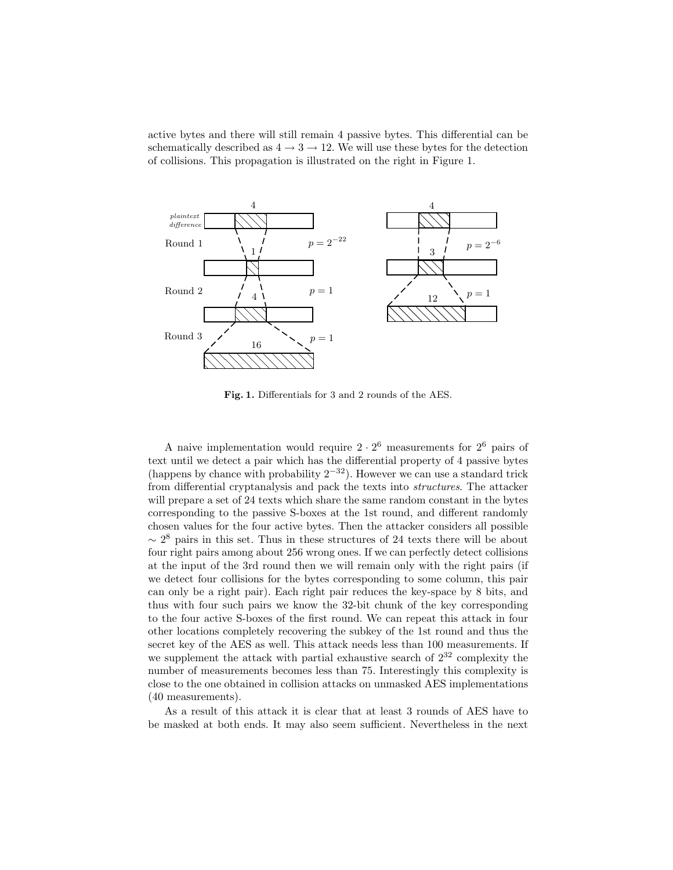active bytes and there will still remain 4 passive bytes. This differential can be schematically described as  $4 \rightarrow 3 \rightarrow 12$ . We will use these bytes for the detection of collisions. This propagation is illustrated on the right in Figure 1.



Fig. 1. Differentials for 3 and 2 rounds of the AES.

A naive implementation would require  $2 \cdot 2^6$  measurements for  $2^6$  pairs of text until we detect a pair which has the differential property of 4 passive bytes (happens by chance with probability  $2^{-32}$ ). However we can use a standard trick from differential cryptanalysis and pack the texts into structures. The attacker will prepare a set of 24 texts which share the same random constant in the bytes corresponding to the passive S-boxes at the 1st round, and different randomly chosen values for the four active bytes. Then the attacker considers all possible  $\sim 2^8$  pairs in this set. Thus in these structures of 24 texts there will be about four right pairs among about 256 wrong ones. If we can perfectly detect collisions at the input of the 3rd round then we will remain only with the right pairs (if we detect four collisions for the bytes corresponding to some column, this pair can only be a right pair). Each right pair reduces the key-space by 8 bits, and thus with four such pairs we know the 32-bit chunk of the key corresponding to the four active S-boxes of the first round. We can repeat this attack in four other locations completely recovering the subkey of the 1st round and thus the secret key of the AES as well. This attack needs less than 100 measurements. If we supplement the attack with partial exhaustive search of  $2^{32}$  complexity the number of measurements becomes less than 75. Interestingly this complexity is close to the one obtained in collision attacks on unmasked AES implementations (40 measurements).

As a result of this attack it is clear that at least 3 rounds of AES have to be masked at both ends. It may also seem sufficient. Nevertheless in the next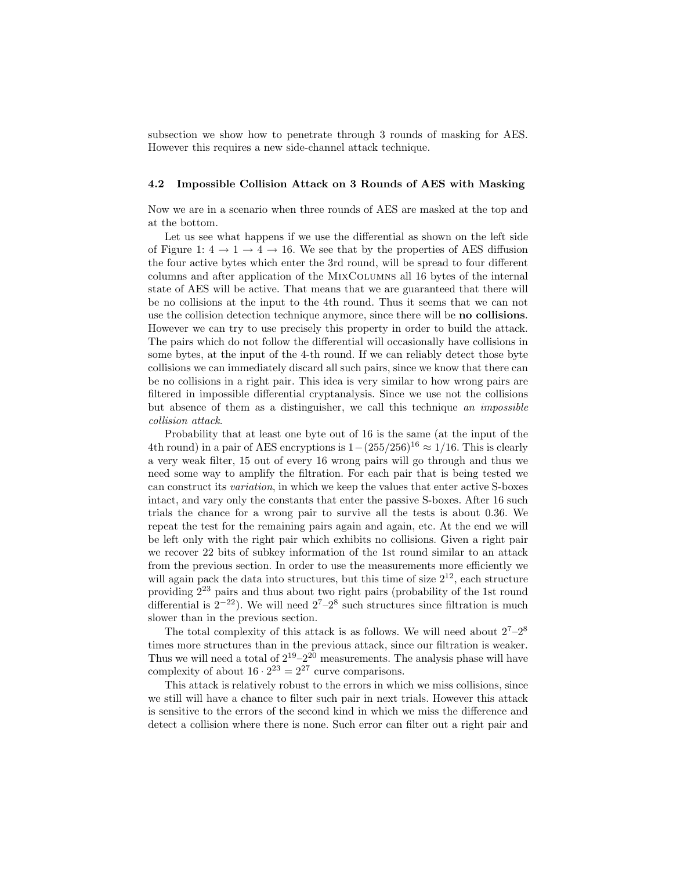subsection we show how to penetrate through 3 rounds of masking for AES. However this requires a new side-channel attack technique.

#### 4.2 Impossible Collision Attack on 3 Rounds of AES with Masking

Now we are in a scenario when three rounds of AES are masked at the top and at the bottom.

Let us see what happens if we use the differential as shown on the left side of Figure 1:  $4 \rightarrow 1 \rightarrow 4 \rightarrow 16$ . We see that by the properties of AES diffusion the four active bytes which enter the 3rd round, will be spread to four different columns and after application of the MixColumns all 16 bytes of the internal state of AES will be active. That means that we are guaranteed that there will be no collisions at the input to the 4th round. Thus it seems that we can not use the collision detection technique anymore, since there will be no collisions. However we can try to use precisely this property in order to build the attack. The pairs which do not follow the differential will occasionally have collisions in some bytes, at the input of the 4-th round. If we can reliably detect those byte collisions we can immediately discard all such pairs, since we know that there can be no collisions in a right pair. This idea is very similar to how wrong pairs are filtered in impossible differential cryptanalysis. Since we use not the collisions but absence of them as a distinguisher, we call this technique an impossible collision attack.

Probability that at least one byte out of 16 is the same (at the input of the 4th round) in a pair of AES encryptions is  $1-(255/256)^{16} \approx 1/16$ . This is clearly a very weak filter, 15 out of every 16 wrong pairs will go through and thus we need some way to amplify the filtration. For each pair that is being tested we can construct its variation, in which we keep the values that enter active S-boxes intact, and vary only the constants that enter the passive S-boxes. After 16 such trials the chance for a wrong pair to survive all the tests is about 0.36. We repeat the test for the remaining pairs again and again, etc. At the end we will be left only with the right pair which exhibits no collisions. Given a right pair we recover 22 bits of subkey information of the 1st round similar to an attack from the previous section. In order to use the measurements more efficiently we will again pack the data into structures, but this time of size  $2^{12}$ , each structure providing 2<sup>23</sup> pairs and thus about two right pairs (probability of the 1st round differential is  $2^{-22}$ ). We will need  $2^7-2^8$  such structures since filtration is much slower than in the previous section.

The total complexity of this attack is as follows. We will need about  $2^7-2^8$ times more structures than in the previous attack, since our filtration is weaker. Thus we will need a total of  $2^{19}-2^{20}$  measurements. The analysis phase will have complexity of about  $16 \cdot 2^{23} = 2^{27}$  curve comparisons.

This attack is relatively robust to the errors in which we miss collisions, since we still will have a chance to filter such pair in next trials. However this attack is sensitive to the errors of the second kind in which we miss the difference and detect a collision where there is none. Such error can filter out a right pair and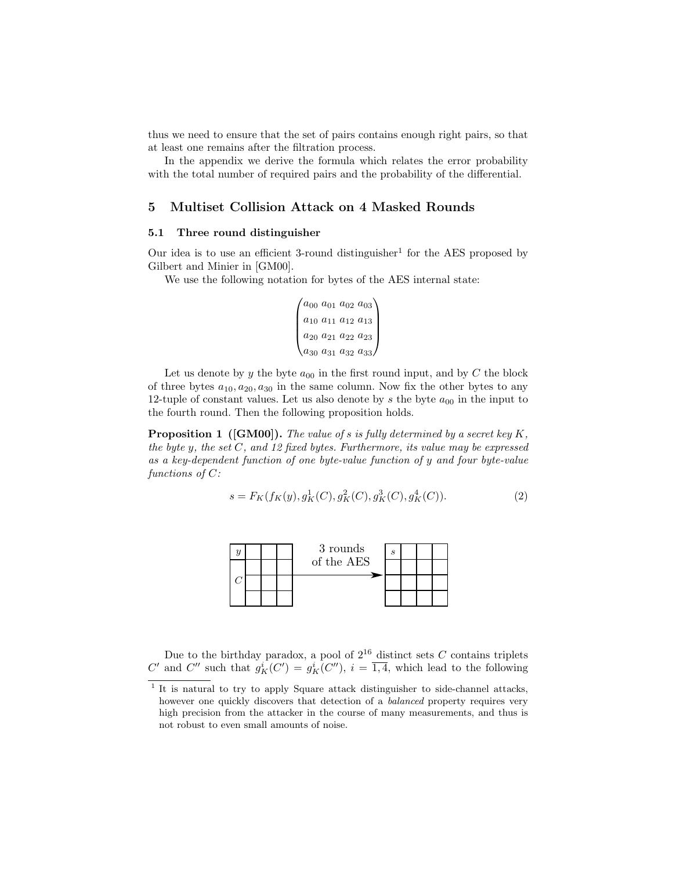thus we need to ensure that the set of pairs contains enough right pairs, so that at least one remains after the filtration process.

In the appendix we derive the formula which relates the error probability with the total number of required pairs and the probability of the differential.

# 5 Multiset Collision Attack on 4 Masked Rounds

#### 5.1 Three round distinguisher

Our idea is to use an efficient 3-round distinguisher<sup>1</sup> for the AES proposed by Gilbert and Minier in [GM00].

We use the following notation for bytes of the AES internal state:

$$
\begin{pmatrix} a_{00} & a_{01} & a_{02} & a_{03} \ a_{10} & a_{11} & a_{12} & a_{13} \ a_{20} & a_{21} & a_{22} & a_{23} \ a_{30} & a_{31} & a_{32} & a_{33} \end{pmatrix}
$$

Let us denote by y the byte  $a_{00}$  in the first round input, and by C the block of three bytes  $a_{10}, a_{20}, a_{30}$  in the same column. Now fix the other bytes to any 12-tuple of constant values. Let us also denote by s the byte  $a_{00}$  in the input to the fourth round. Then the following proposition holds.

**Proposition 1** ([GM00]). The value of s is fully determined by a secret key  $K$ , the byte  $y$ , the set  $C$ , and 12 fixed bytes. Furthermore, its value may be expressed as a key-dependent function of one byte-value function of y and four byte-value functions of C:

$$
s = F_K(f_K(y), g_K^1(C), g_K^2(C), g_K^3(C), g_K^4(C)).
$$
\n(2)



Due to the birthday paradox, a pool of  $2^{16}$  distinct sets C contains triplets C' and C'' such that  $g_K^i(C') = g_K^i(C'')$ ,  $i = \overline{1,4}$ , which lead to the following

<sup>&</sup>lt;sup>1</sup> It is natural to try to apply Square attack distinguisher to side-channel attacks, however one quickly discovers that detection of a *balanced* property requires very high precision from the attacker in the course of many measurements, and thus is not robust to even small amounts of noise.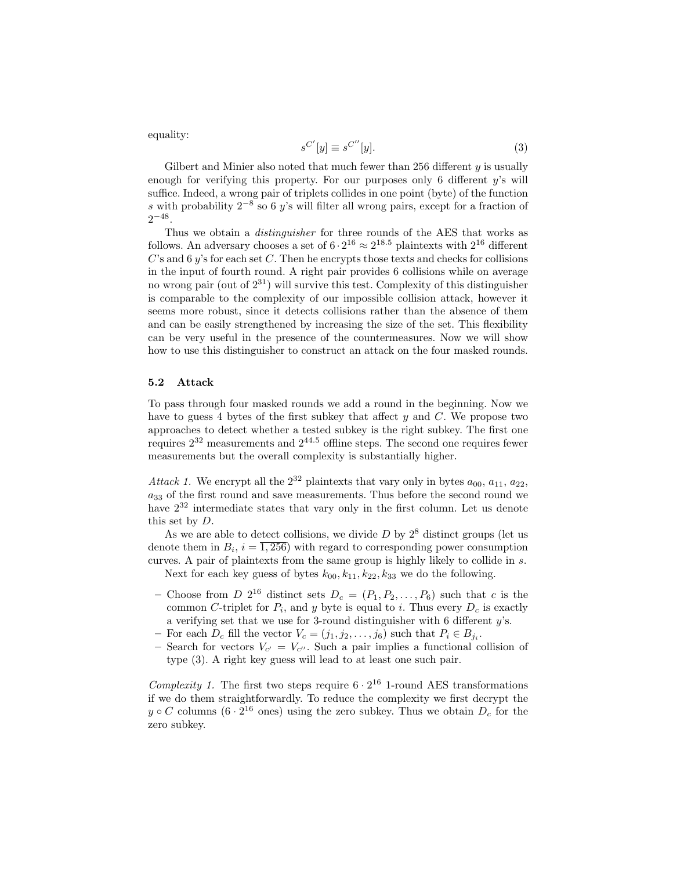equality:

$$
s^{C'}[y] \equiv s^{C''}[y].\tag{3}
$$

Gilbert and Minier also noted that much fewer than 256 different  $y$  is usually enough for verifying this property. For our purposes only 6 different  $y$ 's will suffice. Indeed, a wrong pair of triplets collides in one point (byte) of the function s with probability 2<sup>-8</sup> so 6 y's will filter all wrong pairs, except for a fraction of  $2^{-48}$ .

Thus we obtain a distinguisher for three rounds of the AES that works as follows. An adversary chooses a set of  $6 \cdot 2^{16} \approx 2^{18.5}$  plaintexts with  $2^{16}$  different  $C$ 's and 6  $y$ 's for each set  $C$ . Then he encrypts those texts and checks for collisions in the input of fourth round. A right pair provides 6 collisions while on average no wrong pair (out of  $2^{31}$ ) will survive this test. Complexity of this distinguisher is comparable to the complexity of our impossible collision attack, however it seems more robust, since it detects collisions rather than the absence of them and can be easily strengthened by increasing the size of the set. This flexibility can be very useful in the presence of the countermeasures. Now we will show how to use this distinguisher to construct an attack on the four masked rounds.

#### 5.2 Attack

To pass through four masked rounds we add a round in the beginning. Now we have to guess 4 bytes of the first subkey that affect  $y$  and  $C$ . We propose two approaches to detect whether a tested subkey is the right subkey. The first one requires  $2^{32}$  measurements and  $2^{44.5}$  offline steps. The second one requires fewer measurements but the overall complexity is substantially higher.

Attack 1. We encrypt all the  $2^{32}$  plaintexts that vary only in bytes  $a_{00}$ ,  $a_{11}$ ,  $a_{22}$ ,  $a_{33}$  of the first round and save measurements. Thus before the second round we have  $2^{32}$  intermediate states that vary only in the first column. Let us denote this set by D.

As we are able to detect collisions, we divide  $D$  by  $2^8$  distinct groups (let us denote them in  $B_i$ ,  $i = \overline{1,256}$  with regard to corresponding power consumption curves. A pair of plaintexts from the same group is highly likely to collide in s.

Next for each key guess of bytes  $k_{00}$ ,  $k_{11}$ ,  $k_{22}$ ,  $k_{33}$  we do the following.

- Choose from D  $2^{16}$  distinct sets  $D_c = (P_1, P_2, \ldots, P_6)$  such that c is the common C-triplet for  $P_i$ , and y byte is equal to i. Thus every  $D_c$  is exactly a verifying set that we use for 3-round distinguisher with 6 different  $y$ 's.
- For each  $D_c$  fill the vector  $V_c = (j_1, j_2, \ldots, j_6)$  such that  $P_i \in B_{j_i}$ .
- Search for vectors  $V_{c'} = V_{c''}$ . Such a pair implies a functional collision of type (3). A right key guess will lead to at least one such pair.

Complexity 1. The first two steps require  $6 \cdot 2^{16}$  1-round AES transformations if we do them straightforwardly. To reduce the complexity we first decrypt the  $y \circ C$  columns  $(6 \cdot 2^{16}$  ones) using the zero subkey. Thus we obtain  $D_c$  for the zero subkey.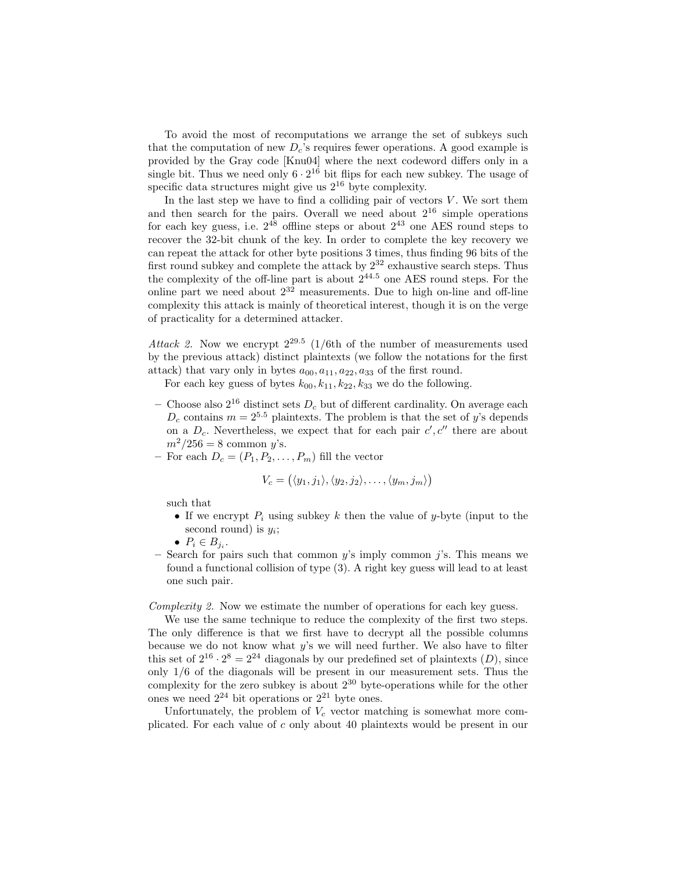To avoid the most of recomputations we arrange the set of subkeys such that the computation of new  $D_c$ 's requires fewer operations. A good example is provided by the Gray code [Knu04] where the next codeword differs only in a single bit. Thus we need only  $6 \cdot 2^{16}$  bit flips for each new subkey. The usage of specific data structures might give us  $2^{16}$  byte complexity.

In the last step we have to find a colliding pair of vectors  $V$ . We sort them and then search for the pairs. Overall we need about  $2^{16}$  simple operations for each key guess, i.e.  $2^{48}$  offline steps or about  $2^{43}$  one AES round steps to recover the 32-bit chunk of the key. In order to complete the key recovery we can repeat the attack for other byte positions 3 times, thus finding 96 bits of the first round subkey and complete the attack by  $2^{32}$  exhaustive search steps. Thus the complexity of the off-line part is about  $2^{44.5}$  one AES round steps. For the online part we need about  $2^{32}$  measurements. Due to high on-line and off-line complexity this attack is mainly of theoretical interest, though it is on the verge of practicality for a determined attacker.

Attack 2. Now we encrypt  $2^{29.5}$  (1/6th of the number of measurements used by the previous attack) distinct plaintexts (we follow the notations for the first attack) that vary only in bytes  $a_{00}, a_{11}, a_{22}, a_{33}$  of the first round.

For each key guess of bytes  $k_{00}, k_{11}, k_{22}, k_{33}$  we do the following.

- Choose also  $2^{16}$  distinct sets  $D_c$  but of different cardinality. On average each  $D_c$  contains  $m = 2^{5.5}$  plaintexts. The problem is that the set of y's depends on a  $D_c$ . Nevertheless, we expect that for each pair  $c', c''$  there are about  $m^2/256 = 8$  common y's.
- For each  $D_c = (P_1, P_2, \ldots, P_m)$  fill the vector

$$
V_c = (\langle y_1, j_1 \rangle, \langle y_2, j_2 \rangle, \dots, \langle y_m, j_m \rangle)
$$

such that

- If we encrypt  $P_i$  using subkey k then the value of y-byte (input to the second round) is  $y_i$ ;
- $P_i \in B_{j_i}$ .
- Search for pairs such that common  $y$ 's imply common  $j$ 's. This means we found a functional collision of type (3). A right key guess will lead to at least one such pair.

Complexity 2. Now we estimate the number of operations for each key guess.

We use the same technique to reduce the complexity of the first two steps. The only difference is that we first have to decrypt all the possible columns because we do not know what  $y$ 's we will need further. We also have to filter this set of  $2^{16} \cdot 2^8 = 2^{24}$  diagonals by our predefined set of plaintexts  $(D)$ , since only 1/6 of the diagonals will be present in our measurement sets. Thus the complexity for the zero subkey is about  $2^{30}$  byte-operations while for the other ones we need  $2^{24}$  bit operations or  $2^{21}$  byte ones.

Unfortunately, the problem of  $V_c$  vector matching is somewhat more complicated. For each value of c only about 40 plaintexts would be present in our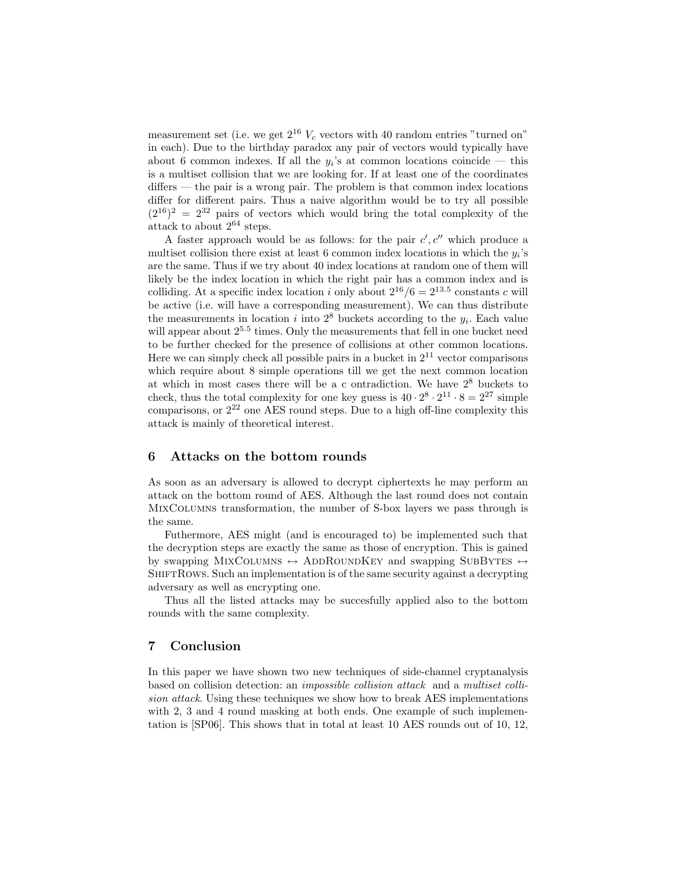measurement set (i.e. we get  $2^{16}$   $V_c$  vectors with 40 random entries "turned on" in each). Due to the birthday paradox any pair of vectors would typically have about 6 common indexes. If all the  $y_i$ 's at common locations coincide — this is a multiset collision that we are looking for. If at least one of the coordinates differs — the pair is a wrong pair. The problem is that common index locations differ for different pairs. Thus a naive algorithm would be to try all possible  $(2^{16})^2 = 2^{32}$  pairs of vectors which would bring the total complexity of the attack to about  $2^{64}$  steps.

A faster approach would be as follows: for the pair  $c', c''$  which produce a multiset collision there exist at least 6 common index locations in which the  $y_i$ 's are the same. Thus if we try about 40 index locations at random one of them will likely be the index location in which the right pair has a common index and is colliding. At a specific index location i only about  $2^{16}/6 = 2^{13.5}$  constants c will be active (i.e. will have a corresponding measurement). We can thus distribute the measurements in location i into  $2^8$  buckets according to the  $y_i$ . Each value will appear about  $2^{5.5}$  times. Only the measurements that fell in one bucket need to be further checked for the presence of collisions at other common locations. Here we can simply check all possible pairs in a bucket in  $2^{11}$  vector comparisons which require about 8 simple operations till we get the next common location at which in most cases there will be a c ontradiction. We have 2<sup>8</sup> buckets to check, thus the total complexity for one key guess is  $40 \cdot 2^8 \cdot 2^{11} \cdot 8 = 2^{27}$  simple comparisons, or  $2^{22}$  one AES round steps. Due to a high off-line complexity this attack is mainly of theoretical interest.

#### 6 Attacks on the bottom rounds

As soon as an adversary is allowed to decrypt ciphertexts he may perform an attack on the bottom round of AES. Although the last round does not contain MixColumns transformation, the number of S-box layers we pass through is the same.

Futhermore, AES might (and is encouraged to) be implemented such that the decryption steps are exactly the same as those of encryption. This is gained by swapping MIXCOLUMNS  $\leftrightarrow$  ADDROUNDKEY and swapping SUBBYTES  $\leftrightarrow$ SHIFTROWS. Such an implementation is of the same security against a decrypting adversary as well as encrypting one.

Thus all the listed attacks may be succesfully applied also to the bottom rounds with the same complexity.

# 7 Conclusion

In this paper we have shown two new techniques of side-channel cryptanalysis based on collision detection: an impossible collision attack and a multiset collision attack. Using these techniques we show how to break AES implementations with 2, 3 and 4 round masking at both ends. One example of such implementation is [SP06]. This shows that in total at least 10 AES rounds out of 10, 12,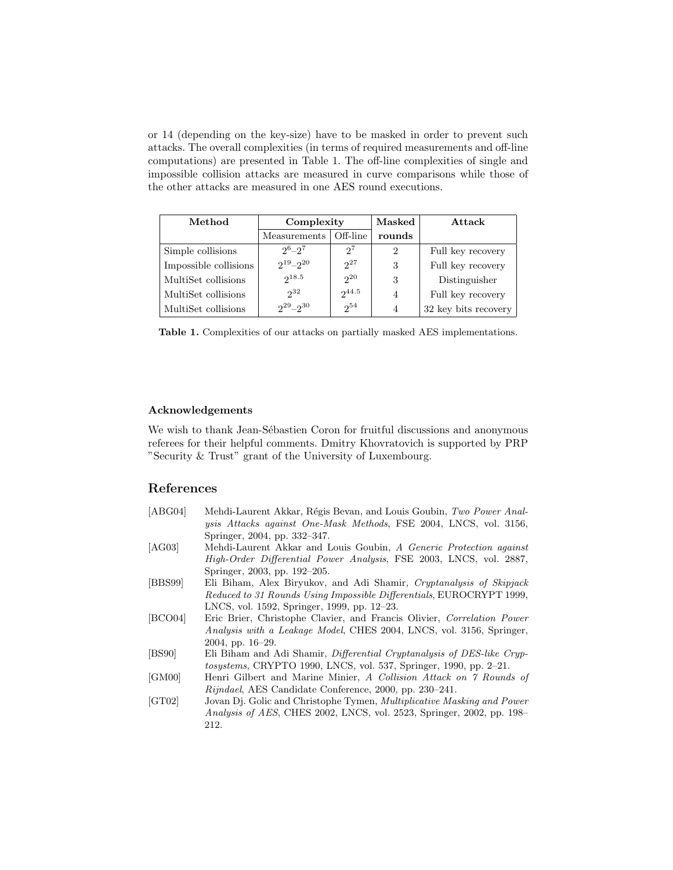or 14 (depending on the key-size) have to be masked in order to prevent such attacks. The overall complexities (in terms of required measurements and off-line computations) are presented in Table 1. The off-line complexities of single and impossible collision attacks are measured in curve comparisons while those of the other attacks are measured in one AES round executions.

| Method                | Complexity        |            | Masked         | Attack               |
|-----------------------|-------------------|------------|----------------|----------------------|
|                       | Measurements      | Off-line   | rounds         |                      |
| Simple collisions     | $2^6 - 2^7$       | $2^7$      | 2              | Full key recovery    |
| Impossible collisions | $2^{19} - 2^{20}$ | $2^{27}$   | 3              | Full key recovery    |
| MultiSet collisions   | $2^{18.5}$        | $2^{20}$   | 3              | Distinguisher        |
| MultiSet collisions   | $2^{32}$          | $2^{44.5}$ | $\overline{4}$ | Full key recovery    |
| MultiSet collisions   | $2^{29} - 2^{30}$ | $2^{54}$   | 4              | 32 key bits recovery |

Table 1. Complexities of our attacks on partially masked AES implementations.

# Acknowledgements

We wish to thank Jean-Sébastien Coron for fruitful discussions and anonymous referees for their helpful comments. Dmitry Khovratovich is supported by PRP "Security & Trust" grant of the University of Luxembourg.

# References

| [ABG04] | Mehdi-Laurent Akkar, Régis Bevan, and Louis Goubin, Two Power Anal-           |
|---------|-------------------------------------------------------------------------------|
|         | ysis Attacks against One-Mask Methods, FSE 2004, LNCS, vol. 3156,             |
|         | Springer, 2004, pp. 332-347.                                                  |
| [AG03]  | Mehdi-Laurent Akkar and Louis Goubin, A Generic Protection against            |
|         | High-Order Differential Power Analysis, FSE 2003, LNCS, vol. 2887,            |
|         | Springer, 2003, pp. 192-205.                                                  |
| [BBS99] | Eli Biham, Alex Biryukov, and Adi Shamir, Cryptanalysis of Skipjack           |
|         | Reduced to 31 Rounds Using Impossible Differentials, EUROCRYPT 1999,          |
|         | LNCS, vol. 1592, Springer, 1999, pp. 12–23.                                   |
| [BCO04] | Eric Brier, Christophe Clavier, and Francis Olivier, Correlation Power        |
|         | Analysis with a Leakage Model, CHES 2004, LNCS, vol. 3156, Springer,          |
|         | 2004, pp. 16-29.                                                              |
| [BS90]  | Eli Biham and Adi Shamir, <i>Differential Cryptanalysis of DES-like Cryp-</i> |
|         | $to systems$ , CRYPTO 1990, LNCS, vol. 537, Springer, 1990, pp. 2-21.         |
| [GM00]  | Henri Gilbert and Marine Minier, A Collision Attack on 7 Rounds of            |
|         | Rijndael, AES Candidate Conference, 2000, pp. 230-241.                        |
| [GT02]  | Jovan Dj. Golic and Christophe Tymen, <i>Multiplicative Masking and Power</i> |
|         | Analysis of AES, CHES 2002, LNCS, vol. 2523, Springer, 2002, pp. 198-         |
|         | 212.                                                                          |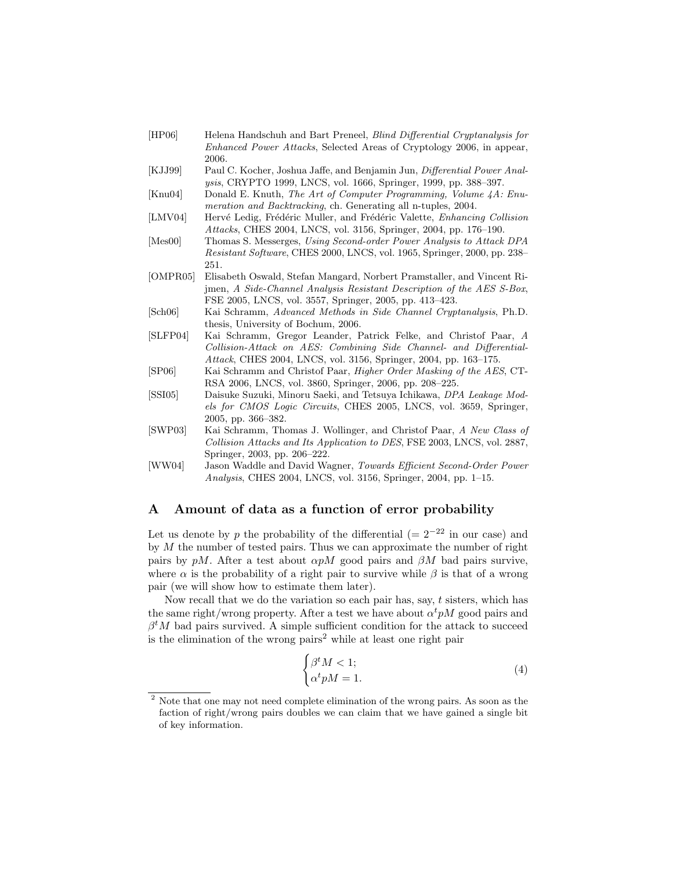- [HP06] Helena Handschuh and Bart Preneel, Blind Differential Cryptanalysis for Enhanced Power Attacks, Selected Areas of Cryptology 2006, in appear, 2006.
- [KJJ99] Paul C. Kocher, Joshua Jaffe, and Benjamin Jun, Differential Power Analysis, CRYPTO 1999, LNCS, vol. 1666, Springer, 1999, pp. 388–397.
- [Knu04] Donald E. Knuth, The Art of Computer Programming, Volume 4A: Enumeration and Backtracking, ch. Generating all n-tuples, 2004.
- [LMV04] Hervé Ledig, Frédéric Muller, and Frédéric Valette, Enhancing Collision Attacks, CHES 2004, LNCS, vol. 3156, Springer, 2004, pp. 176–190.
- [Mes00] Thomas S. Messerges, Using Second-order Power Analysis to Attack DPA Resistant Software, CHES 2000, LNCS, vol. 1965, Springer, 2000, pp. 238– 251.
- [OMPR05] Elisabeth Oswald, Stefan Mangard, Norbert Pramstaller, and Vincent Rijmen, A Side-Channel Analysis Resistant Description of the AES S-Box, FSE 2005, LNCS, vol. 3557, Springer, 2005, pp. 413–423.
- [Sch06] Kai Schramm, Advanced Methods in Side Channel Cryptanalysis, Ph.D. thesis, University of Bochum, 2006.
- [SLFP04] Kai Schramm, Gregor Leander, Patrick Felke, and Christof Paar, A Collision-Attack on AES: Combining Side Channel- and Differential-Attack, CHES 2004, LNCS, vol. 3156, Springer, 2004, pp. 163–175.
- [SP06] Kai Schramm and Christof Paar, Higher Order Masking of the AES, CT-RSA 2006, LNCS, vol. 3860, Springer, 2006, pp. 208–225.
- [SSI05] Daisuke Suzuki, Minoru Saeki, and Tetsuya Ichikawa, DPA Leakage Models for CMOS Logic Circuits, CHES 2005, LNCS, vol. 3659, Springer, 2005, pp. 366–382.
- [SWP03] Kai Schramm, Thomas J. Wollinger, and Christof Paar, A New Class of Collision Attacks and Its Application to DES, FSE 2003, LNCS, vol. 2887, Springer, 2003, pp. 206–222.
- [WW04] Jason Waddle and David Wagner, Towards Efficient Second-Order Power Analysis, CHES 2004, LNCS, vol. 3156, Springer, 2004, pp. 1–15.

# A Amount of data as a function of error probability

Let us denote by p the probability of the differential (=  $2^{-22}$  in our case) and by  $M$  the number of tested pairs. Thus we can approximate the number of right pairs by  $pM$ . After a test about  $\alpha pM$  good pairs and  $\beta M$  bad pairs survive, where  $\alpha$  is the probability of a right pair to survive while  $\beta$  is that of a wrong pair (we will show how to estimate them later).

Now recall that we do the variation so each pair has, say,  $t$  sisters, which has the same right/wrong property. After a test we have about  $\alpha^t pM$  good pairs and  $\beta^t M$  bad pairs survived. A simple sufficient condition for the attack to succeed is the elimination of the wrong  $\text{pairs}^2$  while at least one right pair

$$
\begin{cases} \beta^t M < 1; \\ \alpha^t p M = 1. \end{cases} \tag{4}
$$

 $^{\rm 2}$  Note that one may not need complete elimination of the wrong pairs. As soon as the faction of right/wrong pairs doubles we can claim that we have gained a single bit of key information.